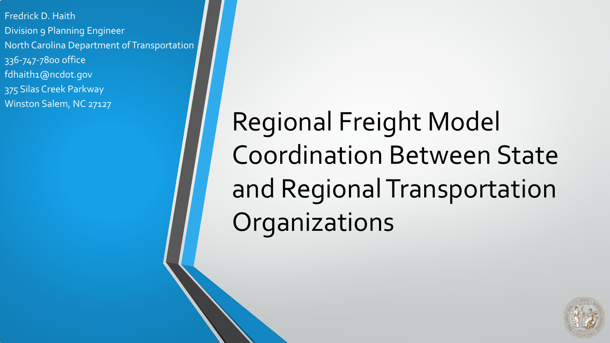Fredrick D. Haith Division 9 Planning Engineer North Carolina Department of Transportation 336-747-7800 office fdhaith1@ncdot.gov 375 Silas Creek Parkway Winston Salem, NC 27127

Regional Freight Model Coordination Between State and Regional Transportation Organizations

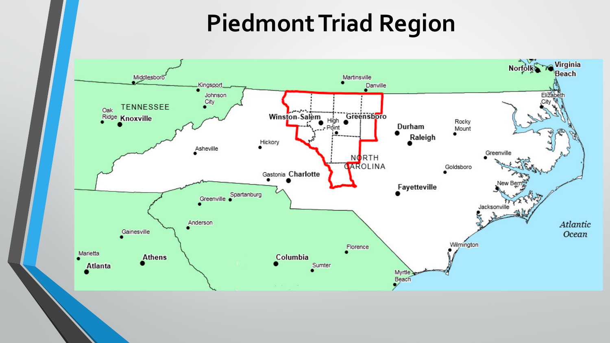## **Piedmont Triad Region**

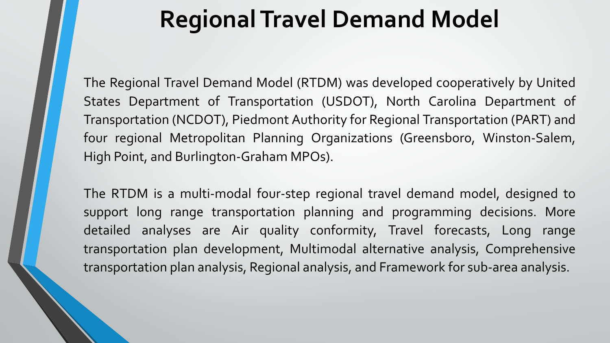#### **Regional Travel Demand Model**

The Regional Travel Demand Model (RTDM) was developed cooperatively by United States Department of Transportation (USDOT), North Carolina Department of Transportation (NCDOT), Piedmont Authority for Regional Transportation (PART) and four regional Metropolitan Planning Organizations (Greensboro, Winston-Salem, High Point, and Burlington-Graham MPOs).

The RTDM is a multi-modal four-step regional travel demand model, designed to support long range transportation planning and programming decisions. More detailed analyses are Air quality conformity, Travel forecasts, Long range transportation plan development, Multimodal alternative analysis, Comprehensive transportation plan analysis, Regional analysis, and Framework for sub-area analysis.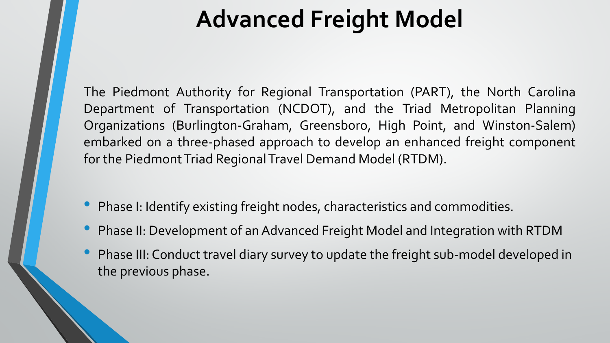## **Advanced Freight Model**

The Piedmont Authority for Regional Transportation (PART), the North Carolina Department of Transportation (NCDOT), and the Triad Metropolitan Planning Organizations (Burlington-Graham, Greensboro, High Point, and Winston-Salem) embarked on a three-phased approach to develop an enhanced freight component for the Piedmont Triad Regional Travel Demand Model (RTDM).

- Phase I: Identify existing freight nodes, characteristics and commodities.
- Phase II: Development of an Advanced Freight Model and Integration with RTDM
- Phase III: Conduct travel diary survey to update the freight sub-model developed in the previous phase.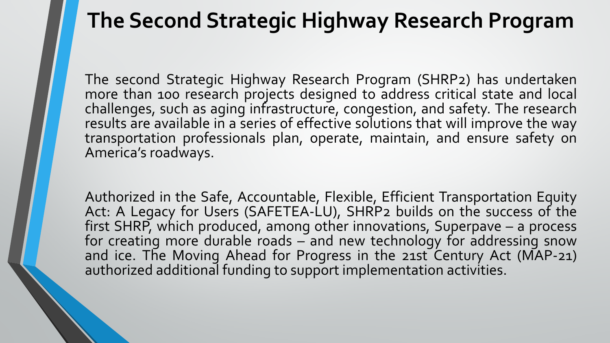#### **The Second Strategic Highway Research Program**

The second Strategic Highway Research Program (SHRP2) has undertaken more than 100 research projects designed to address critical state and local challenges, such as aging infrastructure, congestion, and safety. The research results are available in a series of effective solutions that will improve the way transportation professionals plan, operate, maintain, and ensure safety on America's roadways.

Authorized in the Safe, Accountable, Flexible, Efficient Transportation Equity Act: A Legacy for Users (SAFETEA-LU), SHRP2 builds on the success of the first SHRP, which produced, among other innovations, Superpave – a process for creating more durable roads – and new technology for addressing snow and ice. The Moving Ahead for Progress in the 21st Century Act (MAP-21) authorized additional funding to support implementation activities.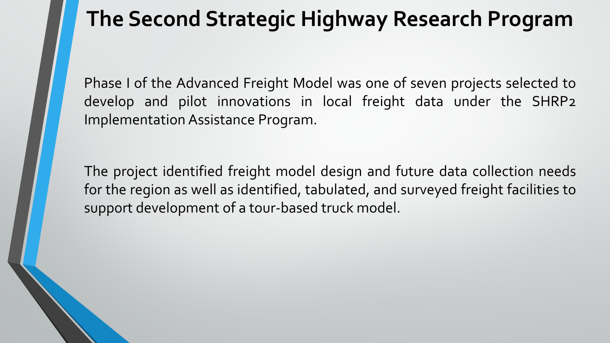#### **The Second Strategic Highway Research Program**

Phase I of the Advanced Freight Model was one of seven projects selected to develop and pilot innovations in local freight data under the SHRP2 Implementation Assistance Program.

The project identified freight model design and future data collection needs for the region as well as identified, tabulated, and surveyed freight facilities to support development of a tour-based truck model.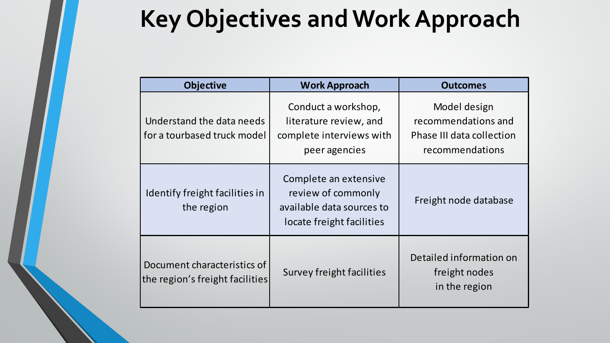## **Key Objectives and Work Approach**

| <b>Objective</b>                                               | <b>Work Approach</b>                                                                                  | <b>Outcomes</b>                                                                     |
|----------------------------------------------------------------|-------------------------------------------------------------------------------------------------------|-------------------------------------------------------------------------------------|
| Understand the data needs<br>for a tourbased truck model       | Conduct a workshop,<br>literature review, and<br>complete interviews with<br>peer agencies            | Model design<br>recommendations and<br>Phase III data collection<br>recommendations |
| Identify freight facilities in<br>the region                   | Complete an extensive<br>review of commonly<br>available data sources to<br>locate freight facilities | Freight node database                                                               |
| Document characteristics of<br>the region's freight facilities | Survey freight facilities                                                                             | Detailed information on<br>freight nodes<br>in the region                           |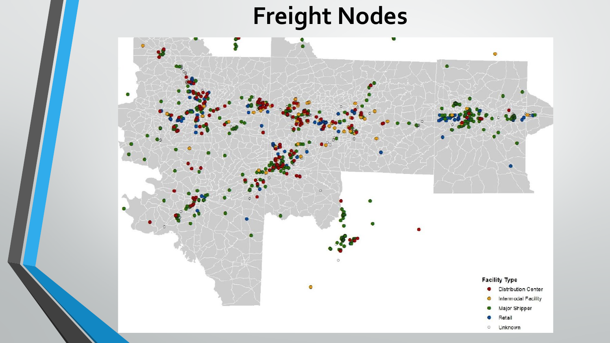# **Freight Nodes**

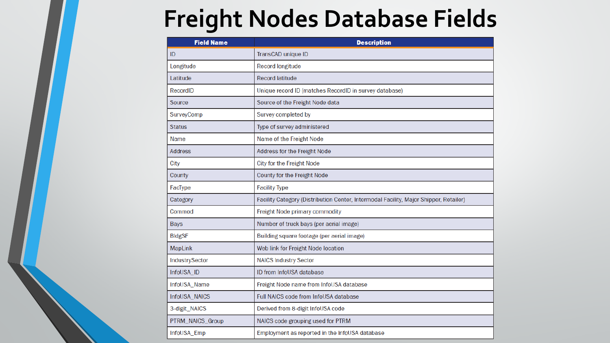### **Freight Nodes Database Fields**

| <b>Field Name</b> | <b>Description</b>                                                                    |  |
|-------------------|---------------------------------------------------------------------------------------|--|
| ID                | TransCAD unique ID                                                                    |  |
| Longitude         | <b>Record longitude</b>                                                               |  |
| Latitude          | <b>Record latitude</b>                                                                |  |
| RecordID          | Unique record ID (matches RecordID in survey database)                                |  |
| Source            | Source of the Freight Node data                                                       |  |
| SurveyComp        | Survey completed by                                                                   |  |
| <b>Status</b>     | Type of survey administered                                                           |  |
| Name              | Name of the Freight Node                                                              |  |
| <b>Address</b>    | Address for the Freight Node                                                          |  |
| City              | City for the Freight Node                                                             |  |
| County            | County for the Freight Node                                                           |  |
| FacType           | <b>Facility Type</b>                                                                  |  |
| Category          | Facility Category (Distribution Center, Intermodal Facility, Major Shipper, Retailer) |  |
| Commod            | Freight Node primary commodity                                                        |  |
| <b>Bays</b>       | Number of truck bays (per aerial image)                                               |  |
| <b>BldgSF</b>     | Building square footage (per aerial image)                                            |  |
| <b>MapLink</b>    | Web link for Freight Node location                                                    |  |
| IndustrySector    | <b>NAICS Industry Sector</b>                                                          |  |
| InfoUSA_ID        | ID from InfoUSA database                                                              |  |
| InfoUSA_Name      | Freight Node name from InfoUSA database                                               |  |
| InfoUSA_NAICS     | Full NAICS code from InfoUSA database                                                 |  |
| 3-digit_NAICS     | Derived from 8-digit InfoUSA code                                                     |  |
| PTRM_NAICS_Group  | NAICS code grouping used for PTRM                                                     |  |
| InfoUSA_Emp       | Employment as reported in the InfoUSA database                                        |  |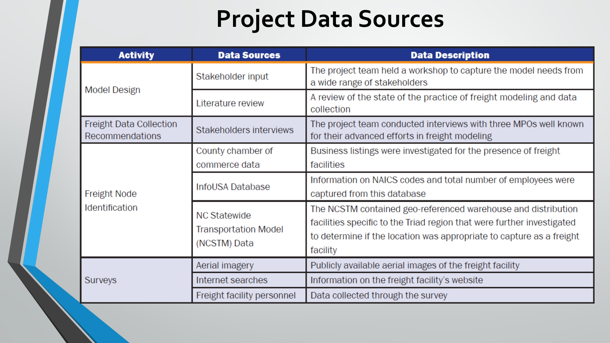# **Project Data Sources**

| <b>Activity</b>                              | <b>Data Sources</b>                                                | <b>Data Description</b>                                                                                                                                                                                                     |
|----------------------------------------------|--------------------------------------------------------------------|-----------------------------------------------------------------------------------------------------------------------------------------------------------------------------------------------------------------------------|
| <b>Model Design</b>                          | Stakeholder input                                                  | The project team held a workshop to capture the model needs from<br>a wide range of stakeholders                                                                                                                            |
|                                              | Literature review                                                  | A review of the state of the practice of freight modeling and data<br>collection                                                                                                                                            |
| Freight Data Collection<br>Recommendations   | Stakeholders interviews                                            | The project team conducted interviews with three MPOs well known<br>for their advanced efforts in freight modeling                                                                                                          |
| <b>Freight Node</b><br><b>Identification</b> | County chamber of<br>commerce data                                 | Business listings were investigated for the presence of freight<br>facilities                                                                                                                                               |
|                                              | InfoUSA Database                                                   | Information on NAICS codes and total number of employees were<br>captured from this database                                                                                                                                |
|                                              | <b>NC Statewide</b><br><b>Transportation Model</b><br>(NCSTM) Data | The NCSTM contained geo-referenced warehouse and distribution<br>facilities specific to the Triad region that were further investigated<br>to determine if the location was appropriate to capture as a freight<br>facility |
| Surveys                                      | Aerial imagery                                                     | Publicly available aerial images of the freight facility                                                                                                                                                                    |
|                                              | Internet searches                                                  | Information on the freight facility's website                                                                                                                                                                               |
|                                              | Freight facility personnel                                         | Data collected through the survey                                                                                                                                                                                           |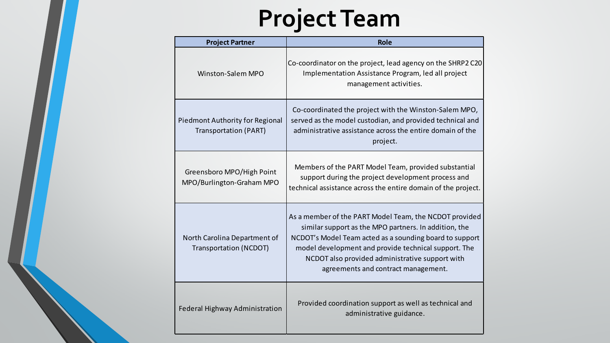# **Project Team**

| <b>Project Partner</b>                                                 | <b>Role</b>                                                                                                                                                                                                                                                                                                                  |
|------------------------------------------------------------------------|------------------------------------------------------------------------------------------------------------------------------------------------------------------------------------------------------------------------------------------------------------------------------------------------------------------------------|
| <b>Winston-Salem MPO</b>                                               | Co-coordinator on the project, lead agency on the SHRP2 C20<br>Implementation Assistance Program, led all project<br>management activities.                                                                                                                                                                                  |
| <b>Piedmont Authority for Regional</b><br><b>Transportation (PART)</b> | Co-coordinated the project with the Winston-Salem MPO,<br>served as the model custodian, and provided technical and<br>administrative assistance across the entire domain of the<br>project.                                                                                                                                 |
| Greensboro MPO/High Point<br>MPO/Burlington-Graham MPO                 | Members of the PART Model Team, provided substantial<br>support during the project development process and<br>technical assistance across the entire domain of the project.                                                                                                                                                  |
| North Carolina Department of<br><b>Transportation (NCDOT)</b>          | As a member of the PART Model Team, the NCDOT provided<br>similar support as the MPO partners. In addition, the<br>NCDOT's Model Team acted as a sounding board to support<br>model development and provide technical support. The<br>NCDOT also provided administrative support with<br>agreements and contract management. |
| <b>Federal Highway Administration</b>                                  | Provided coordination support as well as technical and<br>administrative guidance.                                                                                                                                                                                                                                           |